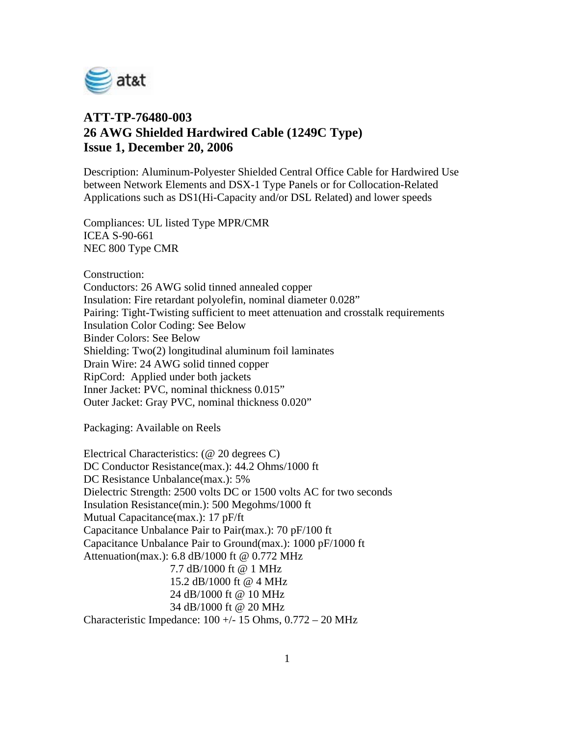

## **ATT-TP-76480-003 26 AWG Shielded Hardwired Cable (1249C Type) Issue 1, December 20, 2006**

Description: Aluminum-Polyester Shielded Central Office Cable for Hardwired Use between Network Elements and DSX-1 Type Panels or for Collocation-Related Applications such as DS1(Hi-Capacity and/or DSL Related) and lower speeds

Compliances: UL listed Type MPR/CMR ICEA S-90-661 NEC 800 Type CMR

Construction:

Conductors: 26 AWG solid tinned annealed copper Insulation: Fire retardant polyolefin, nominal diameter 0.028" Pairing: Tight-Twisting sufficient to meet attenuation and crosstalk requirements Insulation Color Coding: See Below Binder Colors: See Below Shielding: Two(2) longitudinal aluminum foil laminates Drain Wire: 24 AWG solid tinned copper RipCord: Applied under both jackets Inner Jacket: PVC, nominal thickness 0.015" Outer Jacket: Gray PVC, nominal thickness 0.020"

Packaging: Available on Reels

Electrical Characteristics: (@ 20 degrees C) DC Conductor Resistance(max.): 44.2 Ohms/1000 ft DC Resistance Unbalance(max.): 5% Dielectric Strength: 2500 volts DC or 1500 volts AC for two seconds Insulation Resistance(min.): 500 Megohms/1000 ft Mutual Capacitance(max.): 17 pF/ft Capacitance Unbalance Pair to Pair(max.): 70 pF/100 ft Capacitance Unbalance Pair to Ground(max.): 1000 pF/1000 ft Attenuation(max.): 6.8 dB/1000 ft @ 0.772 MHz 7.7 dB/1000 ft @ 1 MHz 15.2 dB/1000 ft @ 4 MHz 24 dB/1000 ft @ 10 MHz 34 dB/1000 ft @ 20 MHz Characteristic Impedance:  $100 +/- 15$  Ohms,  $0.772 - 20$  MHz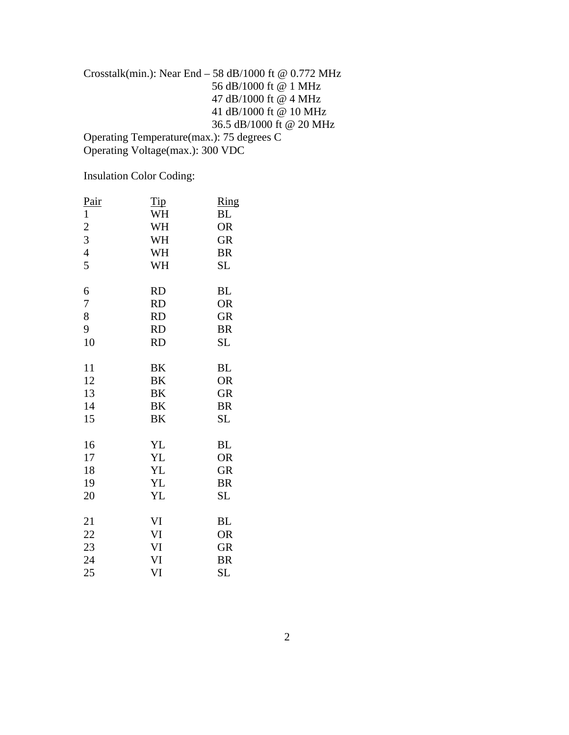## Crosstalk(min.): Near End – 58 dB/1000 ft @ 0.772 MHz 56 dB/1000 ft @ 1 MHz 47 dB/1000 ft @ 4 MHz 41 dB/1000 ft @ 10 MHz 36.5 dB/1000 ft @ 20 MHz

Operating Temperature(max.): 75 degrees C Operating Voltage(max.): 300 VDC

Insulation Color Coding:

| Pair           | <u>Tip</u> | Ring      |
|----------------|------------|-----------|
| $\mathbf{1}$   | WH         | BL        |
| $\overline{c}$ | WH         | <b>OR</b> |
| 3              | WH         | <b>GR</b> |
| $\overline{4}$ | WH         | <b>BR</b> |
| 5              | WH         | SL        |
| 6              | <b>RD</b>  | BL        |
| 7              | <b>RD</b>  | <b>OR</b> |
| 8              | <b>RD</b>  | <b>GR</b> |
| 9              | <b>RD</b>  | <b>BR</b> |
| 10             | <b>RD</b>  | SL        |
| 11             | BK         | <b>BL</b> |
| 12             | BK         | <b>OR</b> |
| 13             | BK         | <b>GR</b> |
| 14             | BK         | <b>BR</b> |
| 15             | BK         | <b>SL</b> |
| 16             | YL         | <b>BL</b> |
| 17             | YL         | <b>OR</b> |
| 18             | <b>YL</b>  | <b>GR</b> |
| 19             | YL         | <b>BR</b> |
| 20             | YL         | SL        |
| 21             | VI         | <b>BL</b> |
| 22             | VI         | <b>OR</b> |
| 23             | VI         | <b>GR</b> |
| 24             | VI         | <b>BR</b> |
| 25             | VI         | SL        |
|                |            |           |